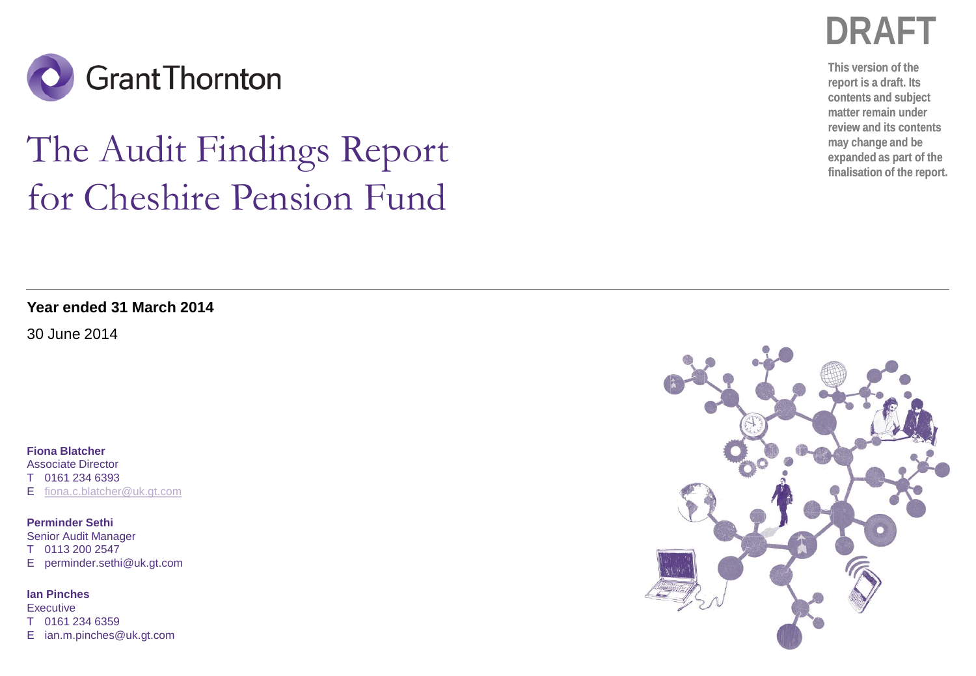

# The Audit Findings Report for Cheshire Pension Fund

**DRAFT**

**This version of the report is a draft. Its contents and subject matter remain under review and its contents may change and be expanded as part of the finalisation of the report.**

**Year ended 31 March 2014**

30 June 2014

**Fiona Blatcher** Associate Director

T 0161 234 6393

E [fiona.c.blatcher@uk.gt.com](mailto:fiona.c.blatcher@uk.gt.com)

**Perminder Sethi** Senior Audit Manager T 0113 200 2547 E perminder.sethi@uk.gt.com

**Ian Pinches Executive** T 0161 234 6359 E ian.m.pinches@uk.gt.com

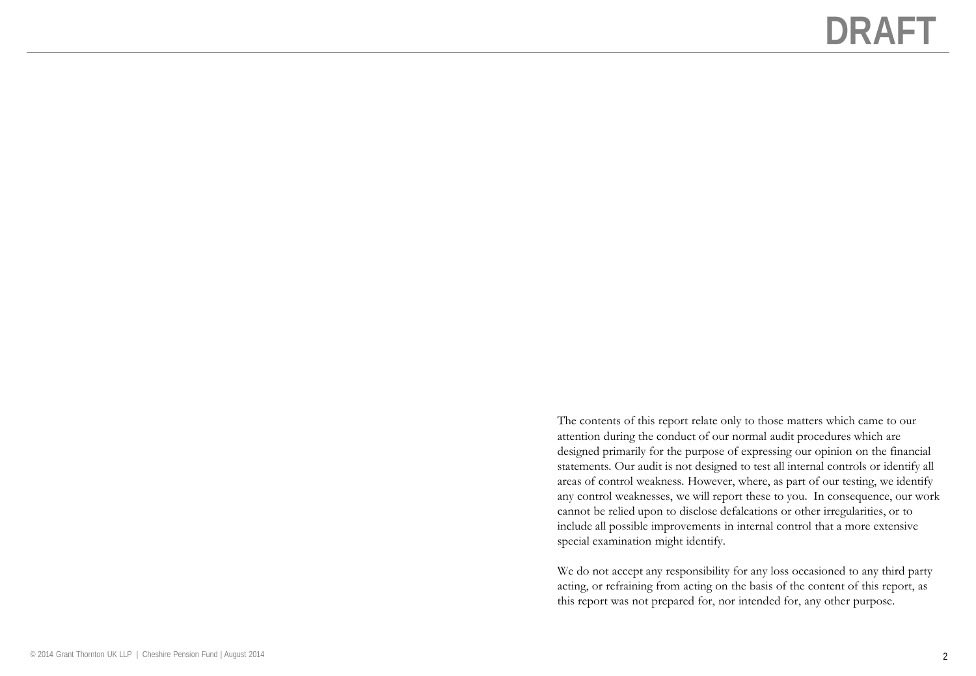The contents of this report relate only to those matters which came to our attention during the conduct of our normal audit procedures which are designed primarily for the purpose of expressing our opinion on the financial statements. Our audit is not designed to test all internal controls or identify all areas of control weakness. However, where, as part of our testing, we identify any control weaknesses, we will report these to you. In consequence, our work cannot be relied upon to disclose defalcations or other irregularities, or to include all possible improvements in internal control that a more extensive special examination might identify.

We do not accept any responsibility for any loss occasioned to any third party acting, or refraining from acting on the basis of the content of this report, as this report was not prepared for, nor intended for, any other purpose.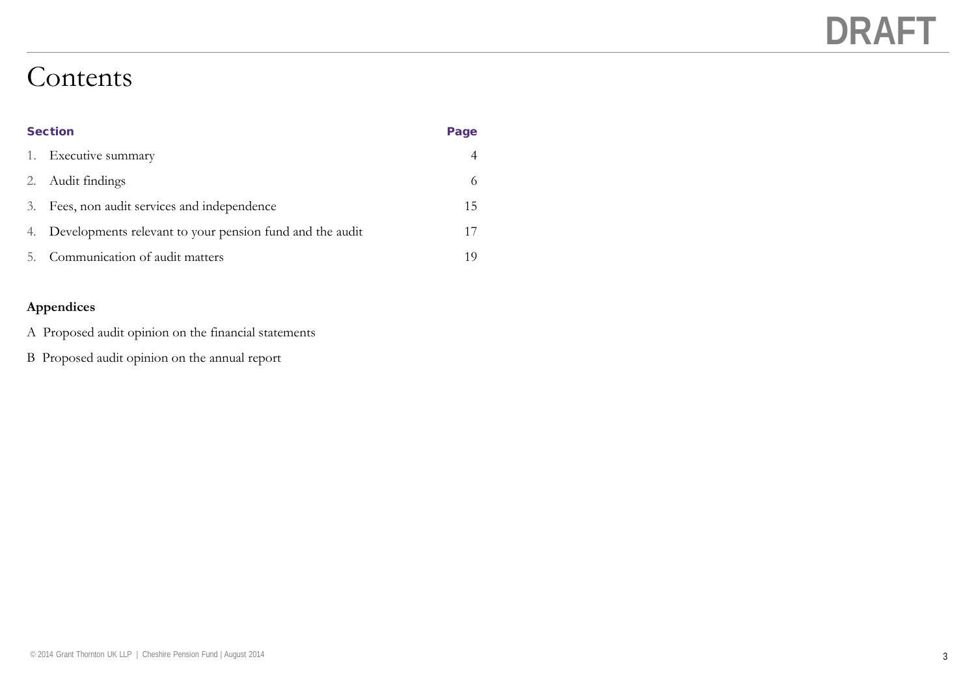### Contents

| <b>Section</b> |                                                             | Page |
|----------------|-------------------------------------------------------------|------|
|                | 1. Executive summary                                        |      |
| 2.             | Audit findings                                              | 6    |
| 3.             | Fees, non audit services and independence                   | 15   |
|                | 4. Developments relevant to your pension fund and the audit |      |
| 5.             | Communication of audit matters                              | 10   |

### **Appendices**

- A Proposed audit opinion on the financial statements
- B Proposed audit opinion on the annual report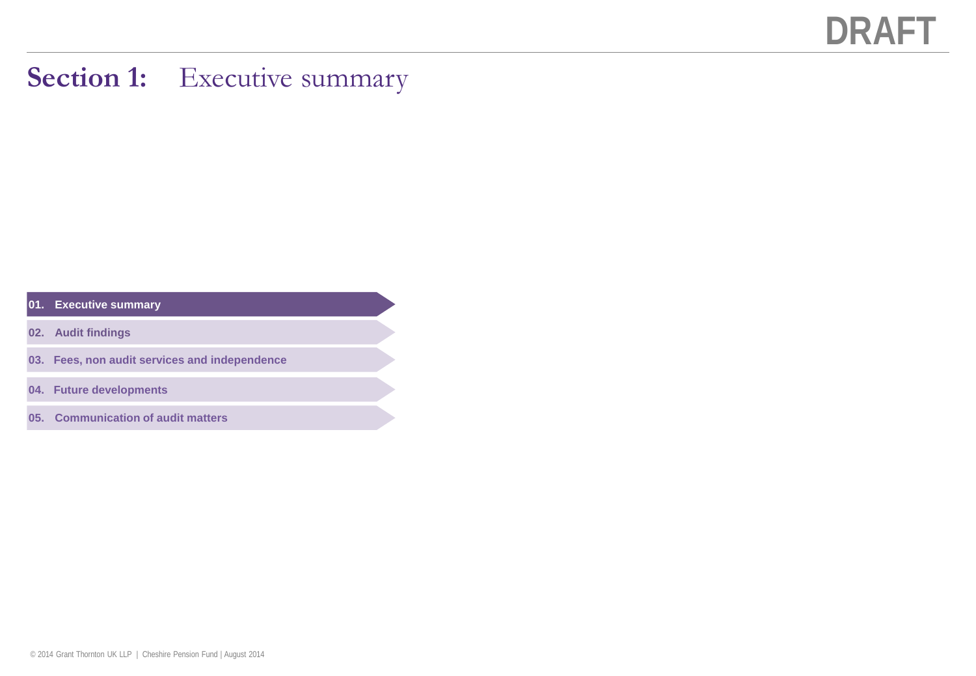### **Section 1:** Executive summary

### **01. Executive summary**

- **02. Audit findings**
- **03. Fees, non audit services and independence**
- **04. Future developments**
- **05. Communication of audit matters**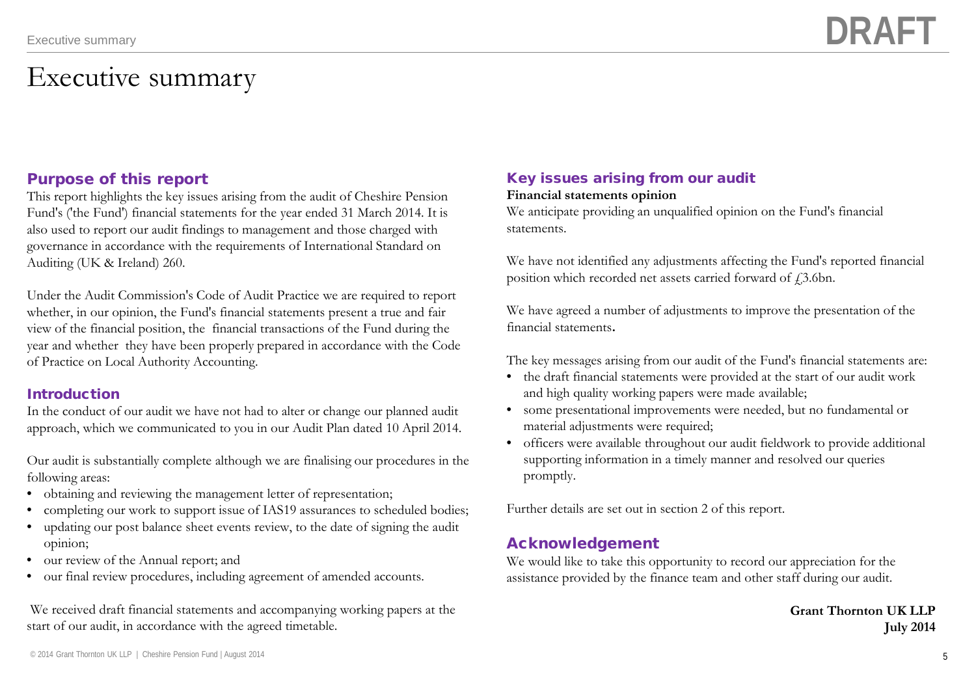### Executive summary

### Purpose of this report

This report highlights the key issues arising from the audit of Cheshire Pension Fund's ('the Fund') financial statements for the year ended 31 March 2014. It is also used to report our audit findings to management and those charged with governance in accordance with the requirements of International Standard on Auditing (UK & Ireland) 260.

Under the Audit Commission's Code of Audit Practice we are required to report whether, in our opinion, the Fund's financial statements present a true and fair view of the financial position, the financial transactions of the Fund during the year and whether they have been properly prepared in accordance with the Code of Practice on Local Authority Accounting.

### Introduction

In the conduct of our audit we have not had to alter or change our planned audit approach, which we communicated to you in our Audit Plan dated 10 April 2014.

Our audit is substantially complete although we are finalising our procedures in the following areas:

- obtaining and reviewing the management letter of representation;
- completing our work to support issue of IAS19 assurances to scheduled bodies;
- updating our post balance sheet events review, to the date of signing the audit opinion;
- our review of the Annual report; and
- our final review procedures, including agreement of amended accounts.

We received draft financial statements and accompanying working papers at the start of our audit, in accordance with the agreed timetable.

### Key issues arising from our audit

### **Financial statements opinion**

We anticipate providing an unqualified opinion on the Fund's financial statements.

We have not identified any adjustments affecting the Fund's reported financial position which recorded net assets carried forward of  $f3.6$ bn.

We have agreed a number of adjustments to improve the presentation of the financial statements**.**

The key messages arising from our audit of the Fund's financial statements are:

- the draft financial statements were provided at the start of our audit work and high quality working papers were made available;
- some presentational improvements were needed, but no fundamental or material adjustments were required;
- officers were available throughout our audit fieldwork to provide additional supporting information in a timely manner and resolved our queries promptly.

Further details are set out in section 2 of this report.

### Acknowledgement

We would like to take this opportunity to record our appreciation for the assistance provided by the finance team and other staff during our audit.

### **Grant Thornton UK LLP July 2014**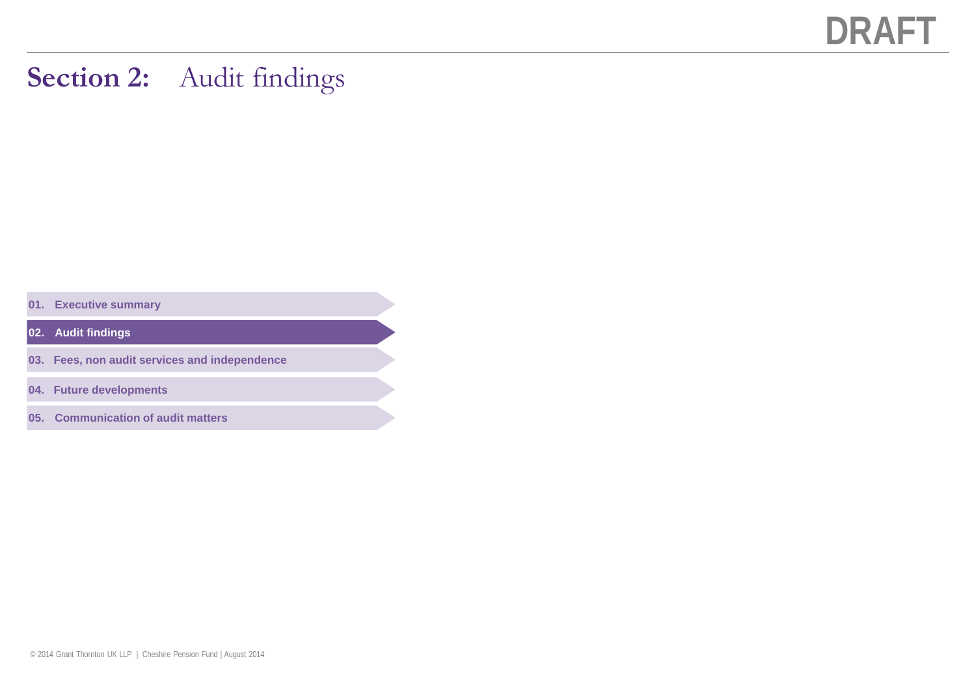### **Section 2:** Audit findings

**01. Executive summary**

**02. Audit findings**

- **03. Fees, non audit services and independence**
- **04. Future developments**
- **05. Communication of audit matters**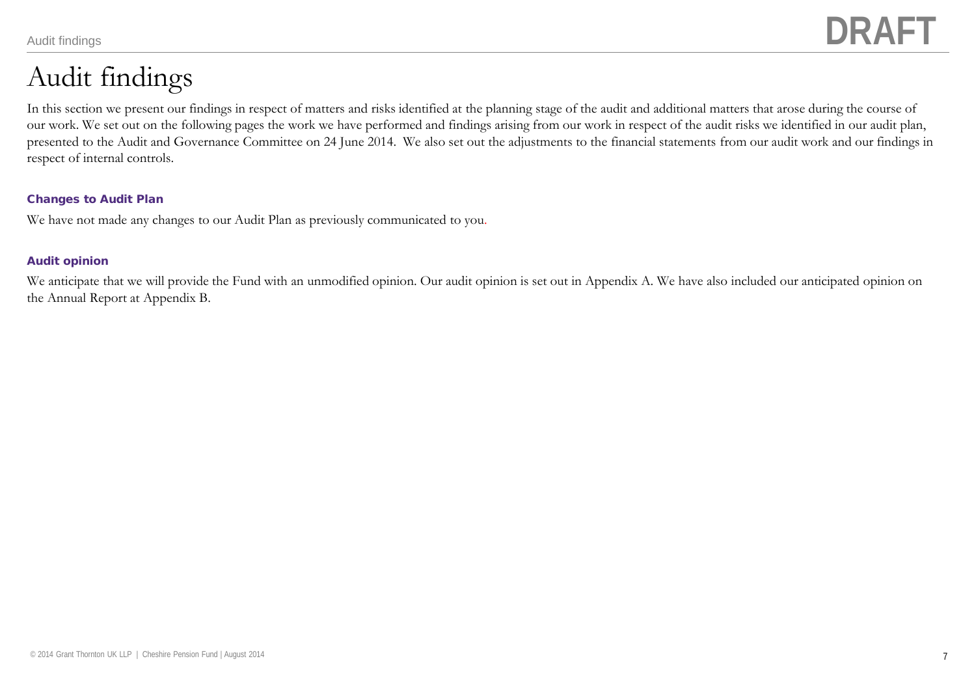# Audit findings

In this section we present our findings in respect of matters and risks identified at the planning stage of the audit and additional matters that arose during the course of our work. We set out on the following pages the work we have performed and findings arising from our work in respect of the audit risks we identified in our audit plan, presented to the Audit and Governance Committee on 24 June 2014. We also set out the adjustments to the financial statements from our audit work and our findings in respect of internal controls.

### Changes to Audit Plan

We have not made any changes to our Audit Plan as previously communicated to you.

### Audit opinion

We anticipate that we will provide the Fund with an unmodified opinion. Our audit opinion is set out in Appendix A. We have also included our anticipated opinion on the Annual Report at Appendix B.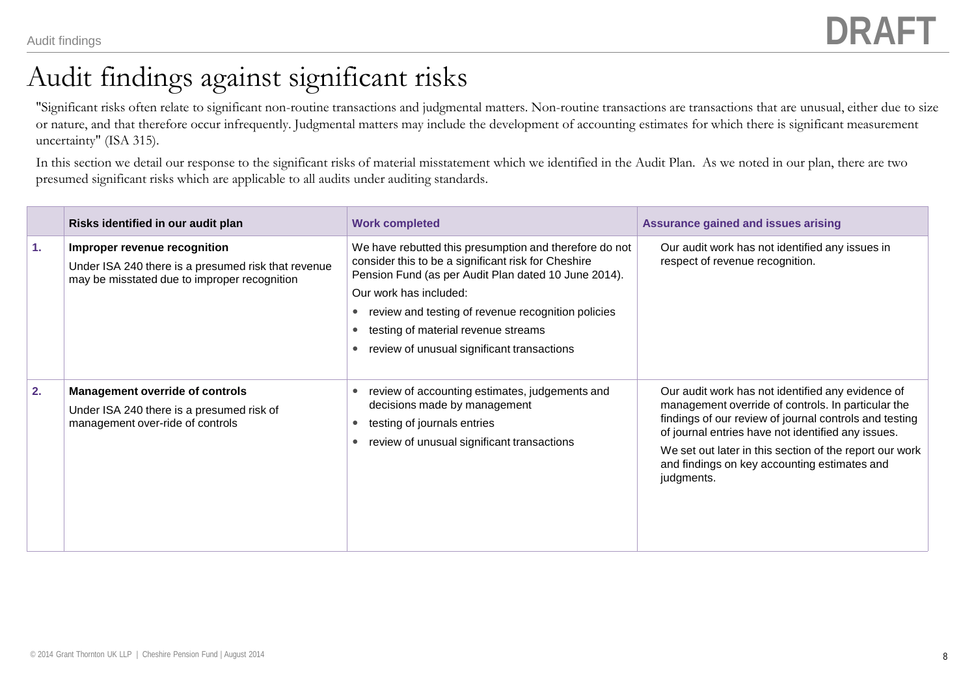### Audit findings against significant risks

"Significant risks often relate to significant non-routine transactions and judgmental matters. Non-routine transactions are transactions that are unusual, either due to size or nature, and that therefore occur infrequently. Judgmental matters may include the development of accounting estimates for which there is significant measurement uncertainty" (ISA 315).

In this section we detail our response to the significant risks of material misstatement which we identified in the Audit Plan. As we noted in our plan, there are two presumed significant risks which are applicable to all audits under auditing standards.

|    | Risks identified in our audit plan                                                                                                  | <b>Work completed</b>                                                                                                                                                                                                                                                                                                                      | Assurance gained and issues arising                                                                                                                                                                                                                                                                                                              |
|----|-------------------------------------------------------------------------------------------------------------------------------------|--------------------------------------------------------------------------------------------------------------------------------------------------------------------------------------------------------------------------------------------------------------------------------------------------------------------------------------------|--------------------------------------------------------------------------------------------------------------------------------------------------------------------------------------------------------------------------------------------------------------------------------------------------------------------------------------------------|
| 1. | Improper revenue recognition<br>Under ISA 240 there is a presumed risk that revenue<br>may be misstated due to improper recognition | We have rebutted this presumption and therefore do not<br>consider this to be a significant risk for Cheshire<br>Pension Fund (as per Audit Plan dated 10 June 2014).<br>Our work has included:<br>review and testing of revenue recognition policies<br>testing of material revenue streams<br>review of unusual significant transactions | Our audit work has not identified any issues in<br>respect of revenue recognition.                                                                                                                                                                                                                                                               |
| 2. | Management override of controls<br>Under ISA 240 there is a presumed risk of<br>management over-ride of controls                    | review of accounting estimates, judgements and<br>decisions made by management<br>testing of journals entries<br>review of unusual significant transactions                                                                                                                                                                                | Our audit work has not identified any evidence of<br>management override of controls. In particular the<br>findings of our review of journal controls and testing<br>of journal entries have not identified any issues.<br>We set out later in this section of the report our work<br>and findings on key accounting estimates and<br>judgments. |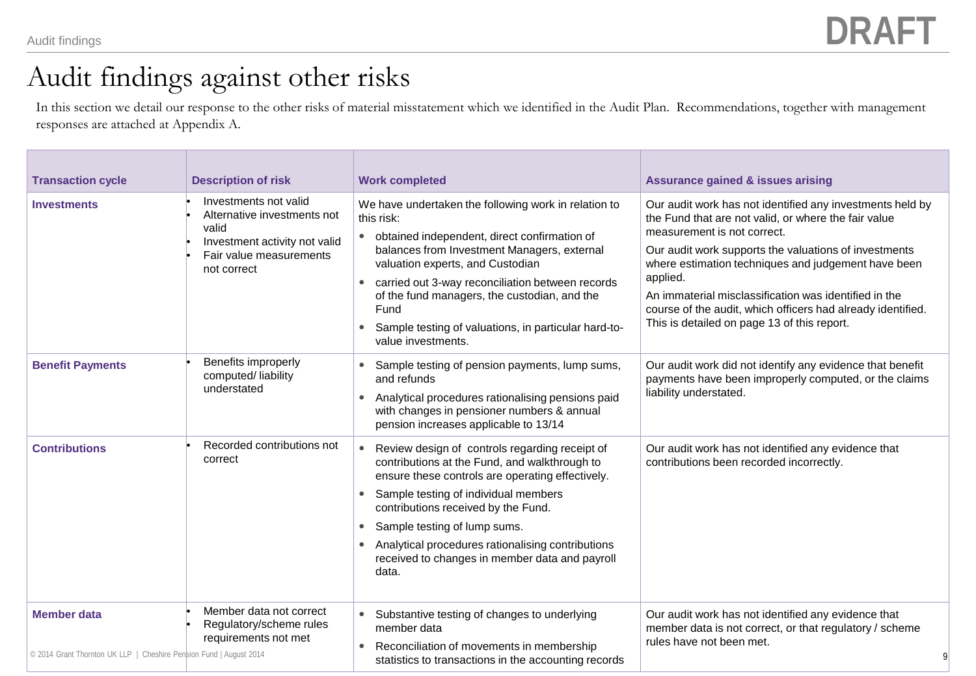## Audit findings against other risks

In this section we detail our response to the other risks of material misstatement which we identified in the Audit Plan. Recommendations, together with management responses are attached at Appendix A.

| <b>Transaction cycle</b>                                                                 | <b>Description of risk</b>                                                                                                               | <b>Work completed</b>                                                                                                                                                                                                                                                                                                                                                                                        | <b>Assurance gained &amp; issues arising</b>                                                                                                                                                                                                                                                                                                                                                                                                        |
|------------------------------------------------------------------------------------------|------------------------------------------------------------------------------------------------------------------------------------------|--------------------------------------------------------------------------------------------------------------------------------------------------------------------------------------------------------------------------------------------------------------------------------------------------------------------------------------------------------------------------------------------------------------|-----------------------------------------------------------------------------------------------------------------------------------------------------------------------------------------------------------------------------------------------------------------------------------------------------------------------------------------------------------------------------------------------------------------------------------------------------|
| <b>Investments</b>                                                                       | Investments not valid<br>Alternative investments not<br>valid<br>Investment activity not valid<br>Fair value measurements<br>not correct | We have undertaken the following work in relation to<br>this risk:<br>obtained independent, direct confirmation of<br>$\bullet$<br>balances from Investment Managers, external<br>valuation experts, and Custodian<br>carried out 3-way reconciliation between records<br>of the fund managers, the custodian, and the<br>Fund<br>Sample testing of valuations, in particular hard-to-<br>value investments. | Our audit work has not identified any investments held by<br>the Fund that are not valid, or where the fair value<br>measurement is not correct.<br>Our audit work supports the valuations of investments<br>where estimation techniques and judgement have been<br>applied.<br>An immaterial misclassification was identified in the<br>course of the audit, which officers had already identified.<br>This is detailed on page 13 of this report. |
| <b>Benefit Payments</b>                                                                  | Benefits improperly<br>computed/liability<br>understated                                                                                 | Sample testing of pension payments, lump sums,<br>٠<br>and refunds<br>Analytical procedures rationalising pensions paid<br>$\bullet$<br>with changes in pensioner numbers & annual<br>pension increases applicable to 13/14                                                                                                                                                                                  | Our audit work did not identify any evidence that benefit<br>payments have been improperly computed, or the claims<br>liability understated.                                                                                                                                                                                                                                                                                                        |
| <b>Contributions</b>                                                                     | Recorded contributions not<br>correct                                                                                                    | Review design of controls regarding receipt of<br>contributions at the Fund, and walkthrough to<br>ensure these controls are operating effectively.<br>Sample testing of individual members<br>contributions received by the Fund.<br>Sample testing of lump sums.<br>٠<br>Analytical procedures rationalising contributions<br>$\bullet$<br>received to changes in member data and payroll<br>data.         | Our audit work has not identified any evidence that<br>contributions been recorded incorrectly.                                                                                                                                                                                                                                                                                                                                                     |
| <b>Member data</b><br>© 2014 Grant Thornton UK LLP   Cheshire Pension Fund   August 2014 | Member data not correct<br>Regulatory/scheme rules<br>requirements not met                                                               | Substantive testing of changes to underlying<br>$\bullet$<br>member data<br>Reconciliation of movements in membership<br>statistics to transactions in the accounting records                                                                                                                                                                                                                                | Our audit work has not identified any evidence that<br>member data is not correct, or that regulatory / scheme<br>rules have not been met.                                                                                                                                                                                                                                                                                                          |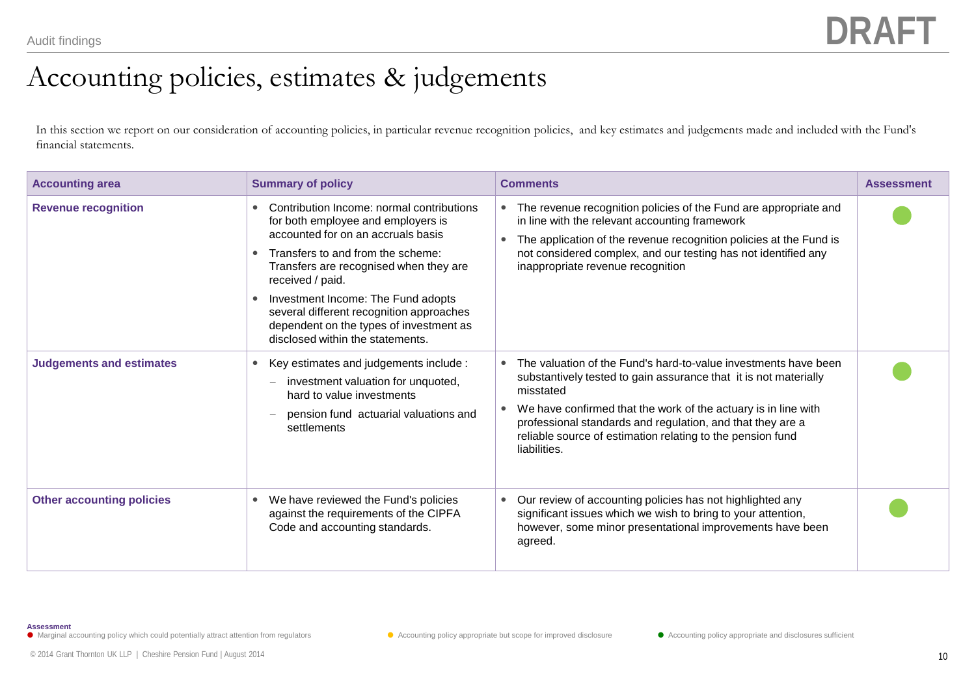## Accounting policies, estimates & judgements

In this section we report on our consideration of accounting policies, in particular revenue recognition policies, and key estimates and judgements made and included with the Fund's financial statements.

| <b>Accounting area</b>           | <b>Summary of policy</b>                                                                                                                                                                                                                                                                                                                                                                  | <b>Comments</b>                                                                                                                                                                                                                                                                                                                                                     | <b>Assessment</b> |
|----------------------------------|-------------------------------------------------------------------------------------------------------------------------------------------------------------------------------------------------------------------------------------------------------------------------------------------------------------------------------------------------------------------------------------------|---------------------------------------------------------------------------------------------------------------------------------------------------------------------------------------------------------------------------------------------------------------------------------------------------------------------------------------------------------------------|-------------------|
| <b>Revenue recognition</b>       | Contribution Income: normal contributions<br>for both employee and employers is<br>accounted for on an accruals basis<br>Transfers to and from the scheme:<br>Transfers are recognised when they are<br>received / paid.<br>Investment Income: The Fund adopts<br>several different recognition approaches<br>dependent on the types of investment as<br>disclosed within the statements. | • The revenue recognition policies of the Fund are appropriate and<br>in line with the relevant accounting framework<br>The application of the revenue recognition policies at the Fund is<br>$\bullet$<br>not considered complex, and our testing has not identified any<br>inappropriate revenue recognition                                                      |                   |
| <b>Judgements and estimates</b>  | Key estimates and judgements include :<br>$\bullet$<br>investment valuation for unquoted,<br>hard to value investments<br>pension fund actuarial valuations and<br>settlements                                                                                                                                                                                                            | The valuation of the Fund's hard-to-value investments have been<br>substantively tested to gain assurance that it is not materially<br>misstated<br>We have confirmed that the work of the actuary is in line with<br>٠<br>professional standards and regulation, and that they are a<br>reliable source of estimation relating to the pension fund<br>liabilities. |                   |
| <b>Other accounting policies</b> | We have reviewed the Fund's policies<br>$\bullet$<br>against the requirements of the CIPFA<br>Code and accounting standards.                                                                                                                                                                                                                                                              | Our review of accounting policies has not highlighted any<br>$\bullet$<br>significant issues which we wish to bring to your attention,<br>however, some minor presentational improvements have been<br>agreed.                                                                                                                                                      |                   |

**Assessment**

● Marginal accounting policy which could potentially attract attention from regulators <br>● Accounting policy appropriate and disclosures sufficient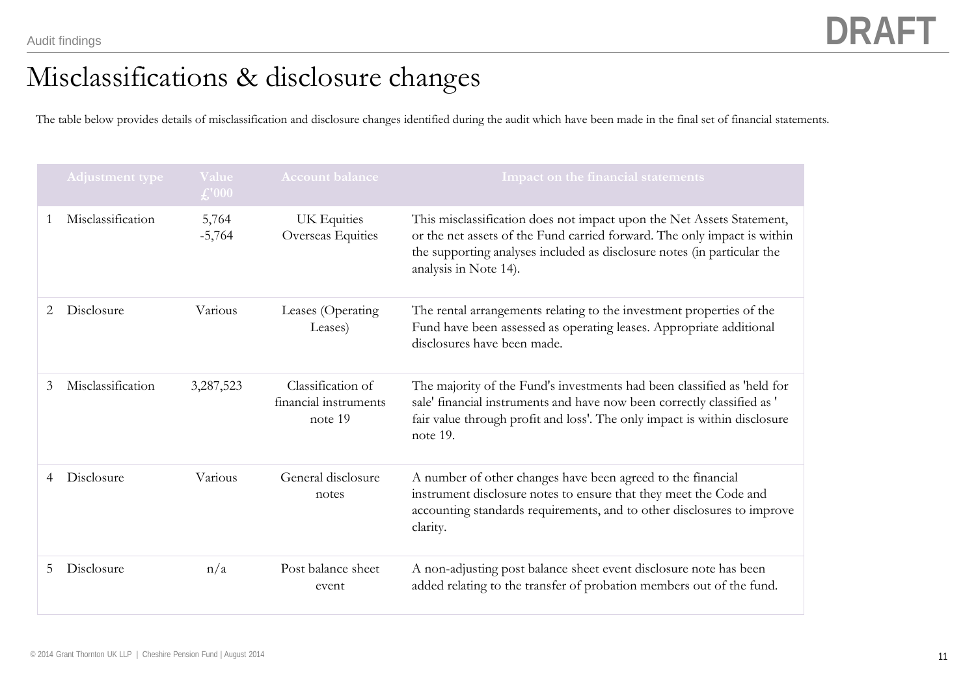## Misclassifications & disclosure changes

The table below provides details of misclassification and disclosure changes identified during the audit which have been made in the final set of financial statements.

|   | Adjustment type   | Value<br>f''000   | <b>Account balance</b>                                | Impact on the financial statements                                                                                                                                                                                                                    |
|---|-------------------|-------------------|-------------------------------------------------------|-------------------------------------------------------------------------------------------------------------------------------------------------------------------------------------------------------------------------------------------------------|
|   | Misclassification | 5,764<br>$-5,764$ | UK Equities<br>Overseas Equities                      | This misclassification does not impact upon the Net Assets Statement,<br>or the net assets of the Fund carried forward. The only impact is within<br>the supporting analyses included as disclosure notes (in particular the<br>analysis in Note 14). |
| 2 | Disclosure        | Various           | Leases (Operating<br>Leases)                          | The rental arrangements relating to the investment properties of the<br>Fund have been assessed as operating leases. Appropriate additional<br>disclosures have been made.                                                                            |
| 3 | Misclassification | 3,287,523         | Classification of<br>financial instruments<br>note 19 | The majority of the Fund's investments had been classified as 'held for<br>sale' financial instruments and have now been correctly classified as '<br>fair value through profit and loss'. The only impact is within disclosure<br>note 19.           |
| 4 | Disclosure        | Various           | General disclosure<br>notes                           | A number of other changes have been agreed to the financial<br>instrument disclosure notes to ensure that they meet the Code and<br>accounting standards requirements, and to other disclosures to improve<br>clarity.                                |
| 5 | Disclosure        | n/a               | Post balance sheet<br>event                           | A non-adjusting post balance sheet event disclosure note has been<br>added relating to the transfer of probation members out of the fund.                                                                                                             |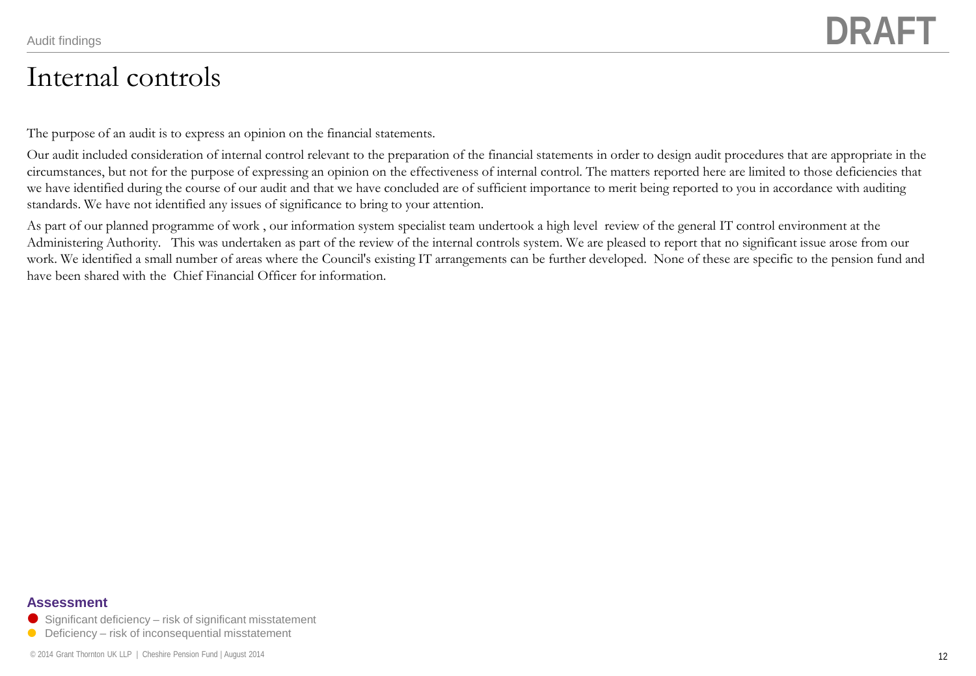### Internal controls

The purpose of an audit is to express an opinion on the financial statements.

Our audit included consideration of internal control relevant to the preparation of the financial statements in order to design audit procedures that are appropriate in the circumstances, but not for the purpose of expressing an opinion on the effectiveness of internal control. The matters reported here are limited to those deficiencies that we have identified during the course of our audit and that we have concluded are of sufficient importance to merit being reported to you in accordance with auditing standards. We have not identified any issues of significance to bring to your attention.

As part of our planned programme of work , our information system specialist team undertook a high level review of the general IT control environment at the Administering Authority. This was undertaken as part of the review of the internal controls system. We are pleased to report that no significant issue arose from our work. We identified a small number of areas where the Council's existing IT arrangements can be further developed. None of these are specific to the pension fund and have been shared with the Chief Financial Officer for information.

### **Assessment**

- $\bullet$  Significant deficiency risk of significant misstatement
- $\bullet$  Deficiency risk of inconsequential misstatement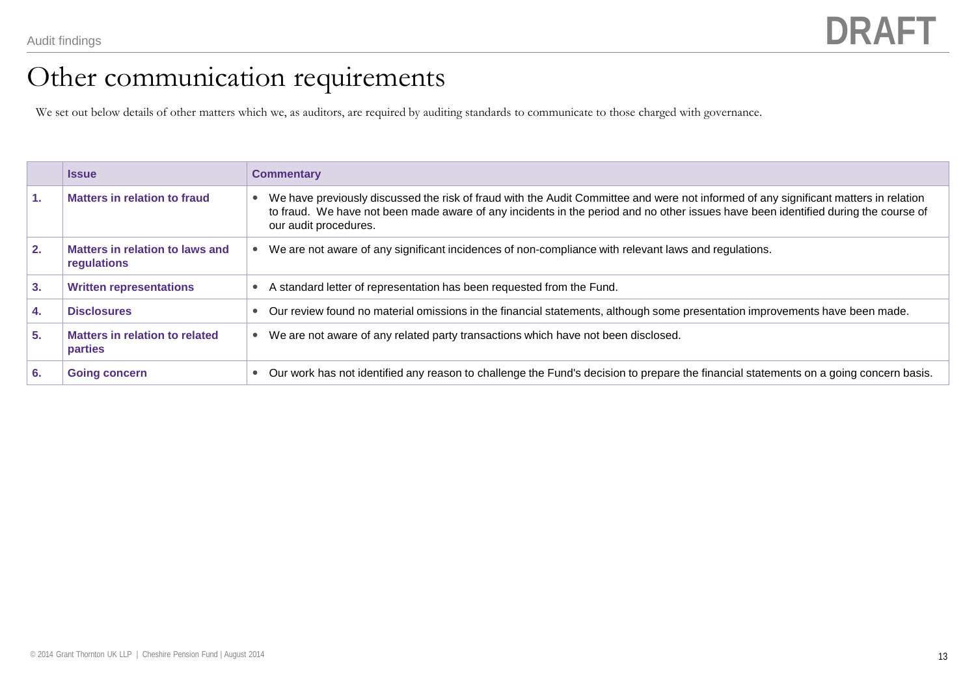## Other communication requirements

We set out below details of other matters which we, as auditors, are required by auditing standards to communicate to those charged with governance.

|    | <b>Issue</b>                                   | <b>Commentary</b>                                                                                                                                                                                                                                                                                                |
|----|------------------------------------------------|------------------------------------------------------------------------------------------------------------------------------------------------------------------------------------------------------------------------------------------------------------------------------------------------------------------|
| 1. | Matters in relation to fraud                   | We have previously discussed the risk of fraud with the Audit Committee and were not informed of any significant matters in relation<br>$\bullet$<br>to fraud. We have not been made aware of any incidents in the period and no other issues have been identified during the course of<br>our audit procedures. |
| 2. | Matters in relation to laws and<br>regulations | We are not aware of any significant incidences of non-compliance with relevant laws and regulations.<br>$\bullet$                                                                                                                                                                                                |
| 3. | <b>Written representations</b>                 | A standard letter of representation has been requested from the Fund.                                                                                                                                                                                                                                            |
| 4. | <b>Disclosures</b>                             | Our review found no material omissions in the financial statements, although some presentation improvements have been made.                                                                                                                                                                                      |
| 5. | Matters in relation to related<br>parties      | We are not aware of any related party transactions which have not been disclosed.<br>۰                                                                                                                                                                                                                           |
| 6. | <b>Going concern</b>                           | Our work has not identified any reason to challenge the Fund's decision to prepare the financial statements on a going concern basis.<br>۰                                                                                                                                                                       |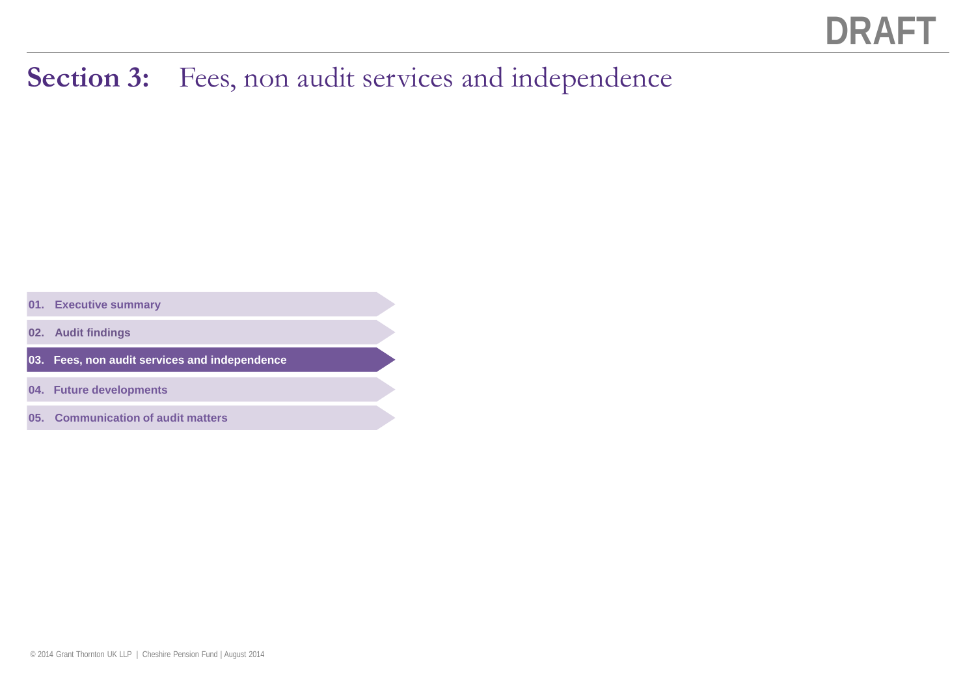## Section 3: Fees, non audit services and independence

**01. Executive summary**

**02. Audit findings**

**03. Fees, non audit services and independence**

**04. Future developments**

**05. Communication of audit matters**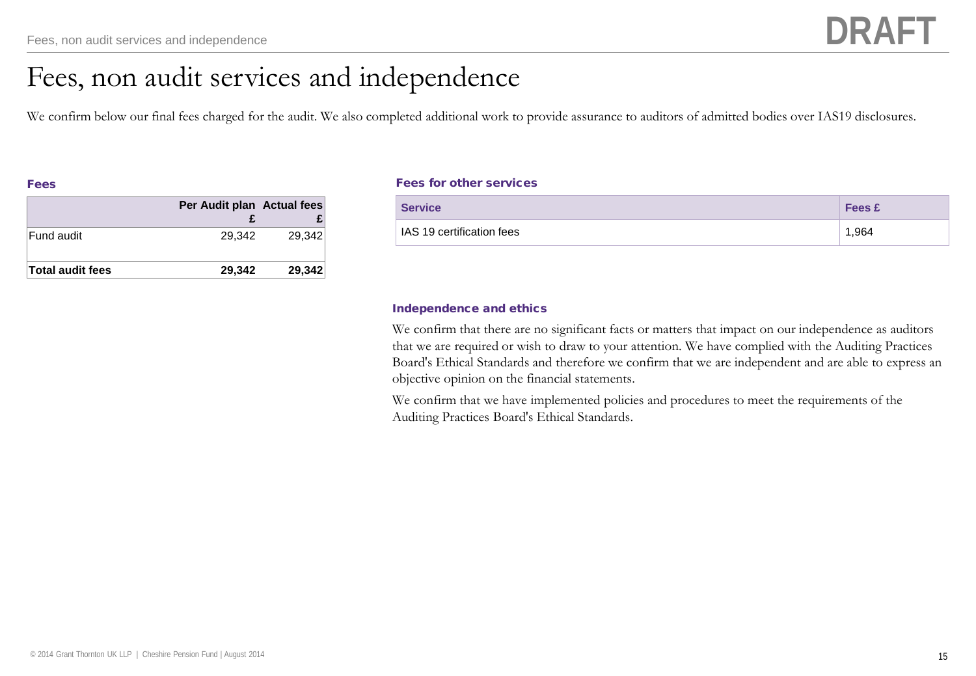## Fees, non audit services and independence

We confirm below our final fees charged for the audit. We also completed additional work to provide assurance to auditors of admitted bodies over IAS19 disclosures.

| ---<br>___ |
|------------|
|------------|

|                         | Per Audit plan Actual fees |        |
|-------------------------|----------------------------|--------|
| Fund audit              | 29.342                     | 29.342 |
| <b>Total audit fees</b> | 29.342                     | 29,342 |

### Fees for other services

| <b>Service</b>            | <b>Fees £</b> |
|---------------------------|---------------|
| IAS 19 certification fees | 1,964         |

### Independence and ethics

We confirm that there are no significant facts or matters that impact on our independence as auditors that we are required or wish to draw to your attention. We have complied with the Auditing Practices Board's Ethical Standards and therefore we confirm that we are independent and are able to express an objective opinion on the financial statements.

We confirm that we have implemented policies and procedures to meet the requirements of the Auditing Practices Board's Ethical Standards.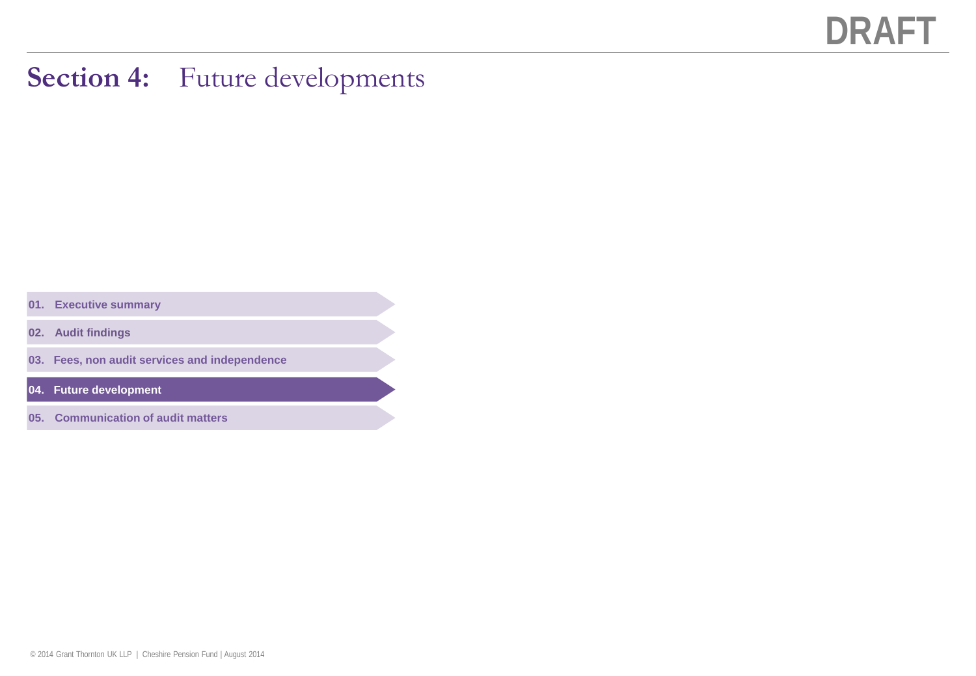### **Section 4:** Future developments

**01. Executive summary**

**02. Audit findings**

**03. Fees, non audit services and independence**

**04. Future development**

**05. Communication of audit matters**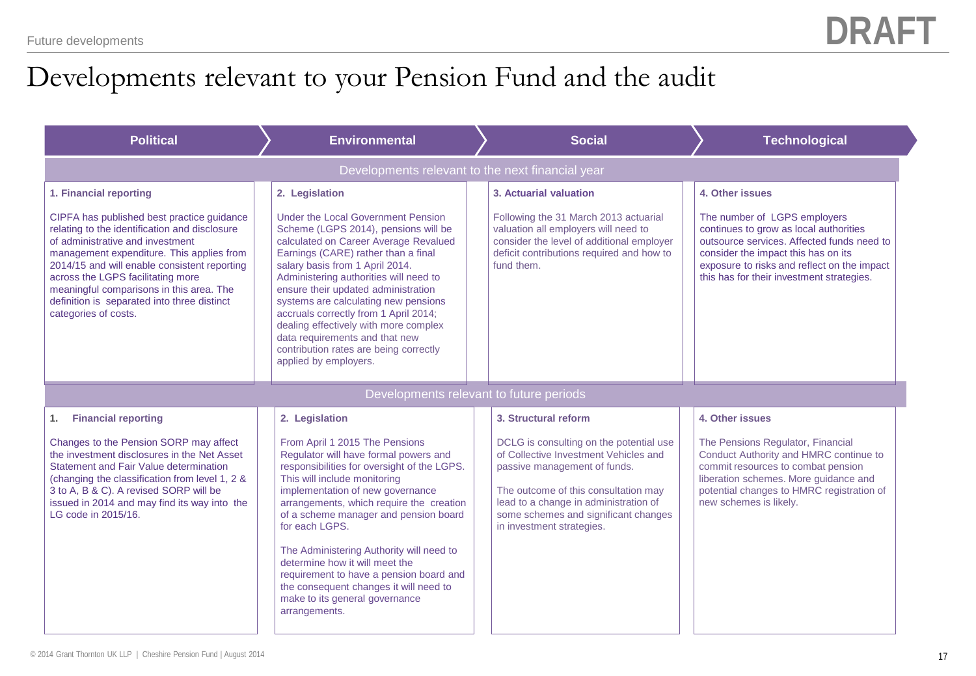## Developments relevant to your Pension Fund and the audit

| <b>Political</b>                                                                                                                                                                                                                                                                                                                                                                     | <b>Environmental</b>                                                                                                                                                                                                                                                                                                                                                                                                                                                                                          | <b>Social</b>                                                                                                                                                                                                                                                          | <b>Technological</b>                                                                                                                                                                                                                                    |
|--------------------------------------------------------------------------------------------------------------------------------------------------------------------------------------------------------------------------------------------------------------------------------------------------------------------------------------------------------------------------------------|---------------------------------------------------------------------------------------------------------------------------------------------------------------------------------------------------------------------------------------------------------------------------------------------------------------------------------------------------------------------------------------------------------------------------------------------------------------------------------------------------------------|------------------------------------------------------------------------------------------------------------------------------------------------------------------------------------------------------------------------------------------------------------------------|---------------------------------------------------------------------------------------------------------------------------------------------------------------------------------------------------------------------------------------------------------|
|                                                                                                                                                                                                                                                                                                                                                                                      | Developments relevant to the next financial year                                                                                                                                                                                                                                                                                                                                                                                                                                                              |                                                                                                                                                                                                                                                                        |                                                                                                                                                                                                                                                         |
| 1. Financial reporting                                                                                                                                                                                                                                                                                                                                                               | 2. Legislation                                                                                                                                                                                                                                                                                                                                                                                                                                                                                                | 3. Actuarial valuation                                                                                                                                                                                                                                                 | 4. Other issues                                                                                                                                                                                                                                         |
| CIPFA has published best practice guidance<br>relating to the identification and disclosure<br>of administrative and investment<br>management expenditure. This applies from<br>2014/15 and will enable consistent reporting<br>across the LGPS facilitating more<br>meaningful comparisons in this area. The<br>definition is separated into three distinct<br>categories of costs. | Under the Local Government Pension<br>Scheme (LGPS 2014), pensions will be<br>calculated on Career Average Revalued<br>Earnings (CARE) rather than a final<br>salary basis from 1 April 2014.<br>Administering authorities will need to<br>ensure their updated administration<br>systems are calculating new pensions<br>accruals correctly from 1 April 2014;<br>dealing effectively with more complex<br>data requirements and that new<br>contribution rates are being correctly<br>applied by employers. | Following the 31 March 2013 actuarial<br>valuation all employers will need to<br>consider the level of additional employer<br>deficit contributions required and how to<br>fund them.                                                                                  | The number of LGPS employers<br>continues to grow as local authorities<br>outsource services. Affected funds need to<br>consider the impact this has on its<br>exposure to risks and reflect on the impact<br>this has for their investment strategies. |
|                                                                                                                                                                                                                                                                                                                                                                                      | Developments relevant to future periods                                                                                                                                                                                                                                                                                                                                                                                                                                                                       |                                                                                                                                                                                                                                                                        |                                                                                                                                                                                                                                                         |
| <b>Financial reporting</b><br>1.                                                                                                                                                                                                                                                                                                                                                     | 2. Legislation                                                                                                                                                                                                                                                                                                                                                                                                                                                                                                | 3. Structural reform                                                                                                                                                                                                                                                   | 4. Other issues                                                                                                                                                                                                                                         |
| Changes to the Pension SORP may affect<br>the investment disclosures in the Net Asset<br>Statement and Fair Value determination<br>(changing the classification from level 1, 2 &<br>3 to A, B & C). A revised SORP will be<br>issued in 2014 and may find its way into the<br>LG code in 2015/16.                                                                                   | From April 1 2015 The Pensions<br>Regulator will have formal powers and<br>responsibilities for oversight of the LGPS.<br>This will include monitoring<br>implementation of new governance<br>arrangements, which require the creation<br>of a scheme manager and pension board<br>for each LGPS.                                                                                                                                                                                                             | DCLG is consulting on the potential use<br>of Collective Investment Vehicles and<br>passive management of funds.<br>The outcome of this consultation may<br>lead to a change in administration of<br>some schemes and significant changes<br>in investment strategies. | The Pensions Regulator, Financial<br>Conduct Authority and HMRC continue to<br>commit resources to combat pension<br>liberation schemes. More guidance and<br>potential changes to HMRC registration of<br>new schemes is likely.                       |
|                                                                                                                                                                                                                                                                                                                                                                                      | The Administering Authority will need to<br>determine how it will meet the<br>requirement to have a pension board and<br>the consequent changes it will need to<br>make to its general governance<br>arrangements.                                                                                                                                                                                                                                                                                            |                                                                                                                                                                                                                                                                        |                                                                                                                                                                                                                                                         |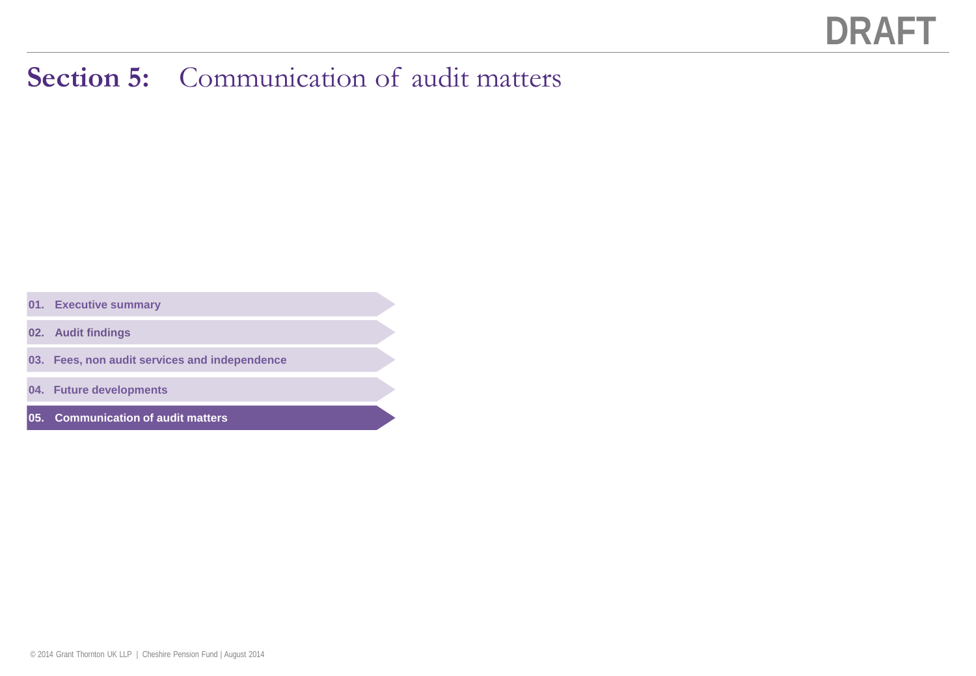## **Section 5:** Communication of audit matters

- **01. Executive summary**
- **02. Audit findings**
- **03. Fees, non audit services and independence**
- **04. Future developments**
- **05. Communication of audit matters**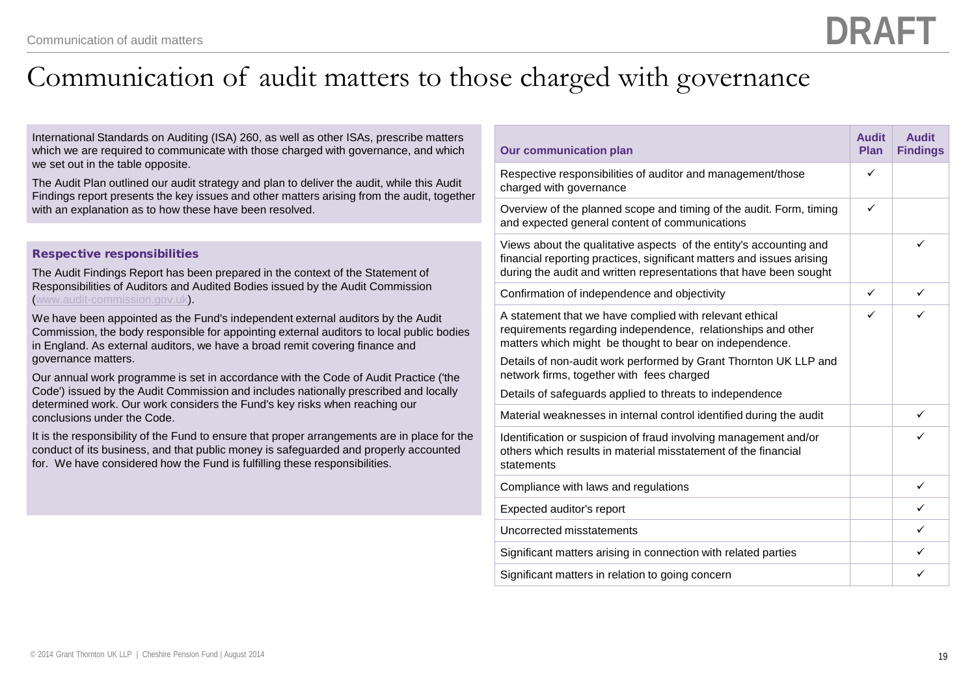## Communication of audit matters to those charged with governance

International Standards on Auditing (ISA) 260, as well as other ISAs, prescribe matters which we are required to communicate with those charged with governance, and which we set out in the table opposite.

The Audit Plan outlined our audit strategy and plan to deliver the audit, while this Audit Findings report presents the key issues and other matters arising from the audit, together with an explanation as to how these have been resolved.

#### Respective responsibilities

The Audit Findings Report has been prepared in the context of the Statement of Responsibilities of Auditors and Audited Bodies issued by the Audit Commission ([www.audit-commission.gov.uk](http://www.audit-commission.gov.uk/)).

We have been appointed as the Fund's independent external auditors by the Audit Commission, the body responsible for appointing external auditors to local public bodies in England. As external auditors, we have a broad remit covering finance and governance matters.

Our annual work programme is set in accordance with the Code of Audit Practice ('the Code') issued by the Audit Commission and includes nationally prescribed and locally determined work. Our work considers the Fund's key risks when reaching our conclusions under the Code.

It is the responsibility of the Fund to ensure that proper arrangements are in place for the conduct of its business, and that public money is safeguarded and properly accounted for. We have considered how the Fund is fulfilling these responsibilities.

| <b>Our communication plan</b>                                                                                                                                                                                                                                                                                                                                   | <b>Audit</b><br><b>Plan</b> | <b>Audit</b><br><b>Findings</b> |
|-----------------------------------------------------------------------------------------------------------------------------------------------------------------------------------------------------------------------------------------------------------------------------------------------------------------------------------------------------------------|-----------------------------|---------------------------------|
| Respective responsibilities of auditor and management/those<br>charged with governance                                                                                                                                                                                                                                                                          | ✓                           |                                 |
| Overview of the planned scope and timing of the audit. Form, timing<br>and expected general content of communications                                                                                                                                                                                                                                           | ✓                           |                                 |
| Views about the qualitative aspects of the entity's accounting and<br>financial reporting practices, significant matters and issues arising<br>during the audit and written representations that have been sought                                                                                                                                               |                             | ✓                               |
| Confirmation of independence and objectivity                                                                                                                                                                                                                                                                                                                    | ✓                           | ✓                               |
| A statement that we have complied with relevant ethical<br>requirements regarding independence, relationships and other<br>matters which might be thought to bear on independence.<br>Details of non-audit work performed by Grant Thornton UK LLP and<br>network firms, together with fees charged<br>Details of safeguards applied to threats to independence |                             | ✓                               |
| Material weaknesses in internal control identified during the audit                                                                                                                                                                                                                                                                                             |                             | ✓                               |
| Identification or suspicion of fraud involving management and/or<br>others which results in material misstatement of the financial<br>statements                                                                                                                                                                                                                |                             | ✓                               |
| Compliance with laws and regulations                                                                                                                                                                                                                                                                                                                            |                             | ✓                               |
| Expected auditor's report                                                                                                                                                                                                                                                                                                                                       |                             | ✓                               |
| Uncorrected misstatements                                                                                                                                                                                                                                                                                                                                       |                             | ✓                               |
| Significant matters arising in connection with related parties                                                                                                                                                                                                                                                                                                  |                             | ✓                               |
| Significant matters in relation to going concern                                                                                                                                                                                                                                                                                                                |                             | ✓                               |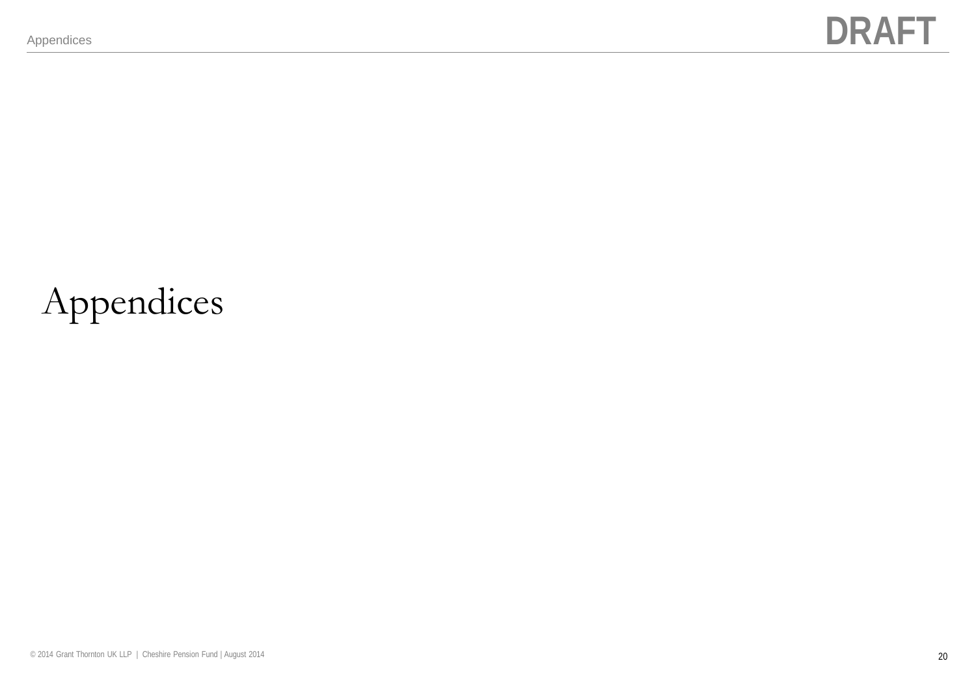# Appendices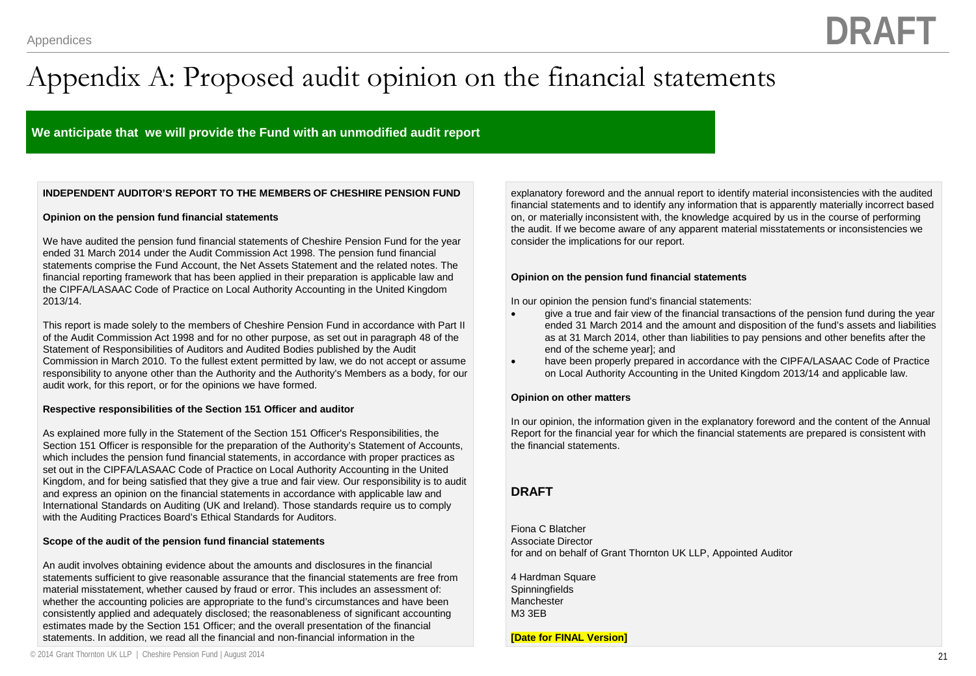## Appendix A: Proposed audit opinion on the financial statements

#### **We anticipate that we will provide the Fund with an unmodified audit report**

#### **INDEPENDENT AUDITOR'S REPORT TO THE MEMBERS OF CHESHIRE PENSION FUND**

#### **Opinion on the pension fund financial statements**

We have audited the pension fund financial statements of Cheshire Pension Fund for the year ended 31 March 2014 under the Audit Commission Act 1998. The pension fund financial statements comprise the Fund Account, the Net Assets Statement and the related notes. The financial reporting framework that has been applied in their preparation is applicable law and the CIPFA/LASAAC Code of Practice on Local Authority Accounting in the United Kingdom 2013/14.

This report is made solely to the members of Cheshire Pension Fund in accordance with Part II of the Audit Commission Act 1998 and for no other purpose, as set out in paragraph 48 of the Statement of Responsibilities of Auditors and Audited Bodies published by the Audit Commission in March 2010. To the fullest extent permitted by law, we do not accept or assume responsibility to anyone other than the Authority and the Authority's Members as a body, for our audit work, for this report, or for the opinions we have formed.

#### **Respective responsibilities of the Section 151 Officer and auditor**

As explained more fully in the Statement of the Section 151 Officer's Responsibilities, the Section 151 Officer is responsible for the preparation of the Authority's Statement of Accounts, which includes the pension fund financial statements, in accordance with proper practices as set out in the CIPFA/LASAAC Code of Practice on Local Authority Accounting in the United Kingdom, and for being satisfied that they give a true and fair view. Our responsibility is to audit and express an opinion on the financial statements in accordance with applicable law and International Standards on Auditing (UK and Ireland). Those standards require us to comply with the Auditing Practices Board's Ethical Standards for Auditors.

#### **Scope of the audit of the pension fund financial statements**

An audit involves obtaining evidence about the amounts and disclosures in the financial statements sufficient to give reasonable assurance that the financial statements are free from material misstatement, whether caused by fraud or error. This includes an assessment of: whether the accounting policies are appropriate to the fund's circumstances and have been consistently applied and adequately disclosed; the reasonableness of significant accounting estimates made by the Section 151 Officer; and the overall presentation of the financial statements. In addition, we read all the financial and non-financial information in the

explanatory foreword and the annual report to identify material inconsistencies with the audited financial statements and to identify any information that is apparently materially incorrect based on, or materially inconsistent with, the knowledge acquired by us in the course of performing the audit. If we become aware of any apparent material misstatements or inconsistencies we consider the implications for our report.

#### **Opinion on the pension fund financial statements**

In our opinion the pension fund's financial statements:

- give a true and fair view of the financial transactions of the pension fund during the year ended 31 March 2014 and the amount and disposition of the fund's assets and liabilities as at 31 March 2014, other than liabilities to pay pensions and other benefits after the end of the scheme year]; and
- have been properly prepared in accordance with the CIPFA/LASAAC Code of Practice on Local Authority Accounting in the United Kingdom 2013/14 and applicable law.

#### **Opinion on other matters**

In our opinion, the information given in the explanatory foreword and the content of the Annual Report for the financial year for which the financial statements are prepared is consistent with the financial statements.

#### **DRAFT**

Fiona C Blatcher Associate Director for and on behalf of Grant Thornton UK LLP, Appointed Auditor

4 Hardman Square **Spinningfields** Manchester M3 3EB

**[Date for FINAL Version]**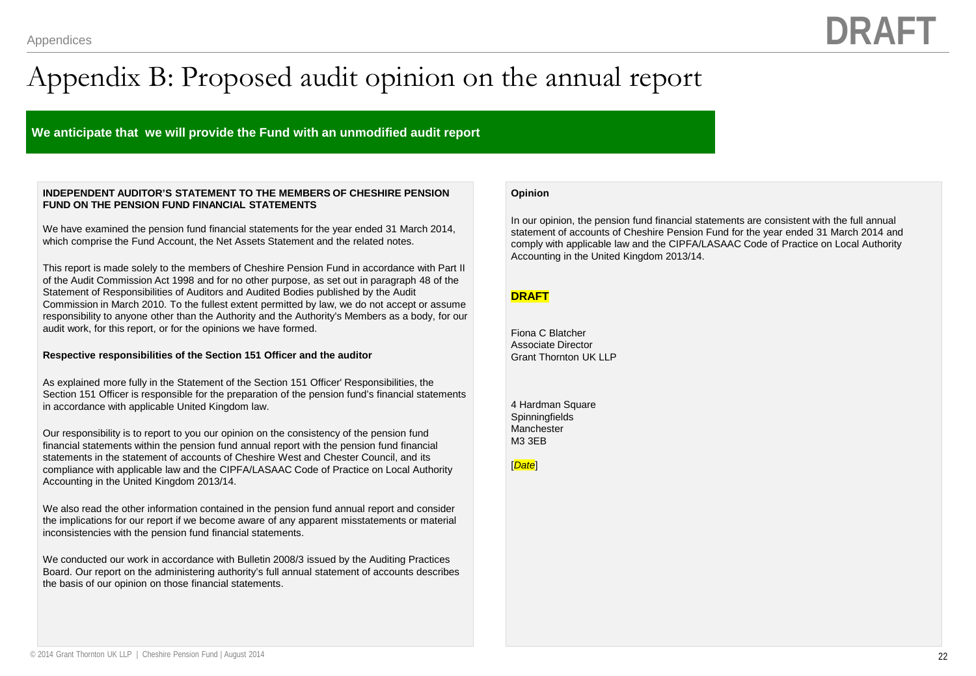## Appendix B: Proposed audit opinion on the annual report

#### **We anticipate that we will provide the Fund with an unmodified audit report**

#### **INDEPENDENT AUDITOR'S STATEMENT TO THE MEMBERS OF CHESHIRE PENSION FUND ON THE PENSION FUND FINANCIAL STATEMENTS**

We have examined the pension fund financial statements for the year ended 31 March 2014, which comprise the Fund Account, the Net Assets Statement and the related notes.

This report is made solely to the members of Cheshire Pension Fund in accordance with Part II of the Audit Commission Act 1998 and for no other purpose, as set out in paragraph 48 of the Statement of Responsibilities of Auditors and Audited Bodies published by the Audit Commission in March 2010. To the fullest extent permitted by law, we do not accept or assume responsibility to anyone other than the Authority and the Authority's Members as a body, for our audit work, for this report, or for the opinions we have formed.

#### **Respective responsibilities of the Section 151 Officer and the auditor**

As explained more fully in the Statement of the Section 151 Officer' Responsibilities, the Section 151 Officer is responsible for the preparation of the pension fund's financial statements in accordance with applicable United Kingdom law.

Our responsibility is to report to you our opinion on the consistency of the pension fund financial statements within the pension fund annual report with the pension fund financial statements in the statement of accounts of Cheshire West and Chester Council, and its compliance with applicable law and the CIPFA/LASAAC Code of Practice on Local Authority Accounting in the United Kingdom 2013/14.

We also read the other information contained in the pension fund annual report and consider the implications for our report if we become aware of any apparent misstatements or material inconsistencies with the pension fund financial statements.

We conducted our work in accordance with Bulletin 2008/3 issued by the Auditing Practices Board. Our report on the administering authority's full annual statement of accounts describes the basis of our opinion on those financial statements.

#### **Opinion**

In our opinion, the pension fund financial statements are consistent with the full annual statement of accounts of Cheshire Pension Fund for the year ended 31 March 2014 and comply with applicable law and the CIPFA/LASAAC Code of Practice on Local Authority Accounting in the United Kingdom 2013/14.

#### **DRAFT**

Fiona C Blatcher Associate Director Grant Thornton UK LLP

4 Hardman Square **Spinningfields Manchester** M3 3EB

[*Date*]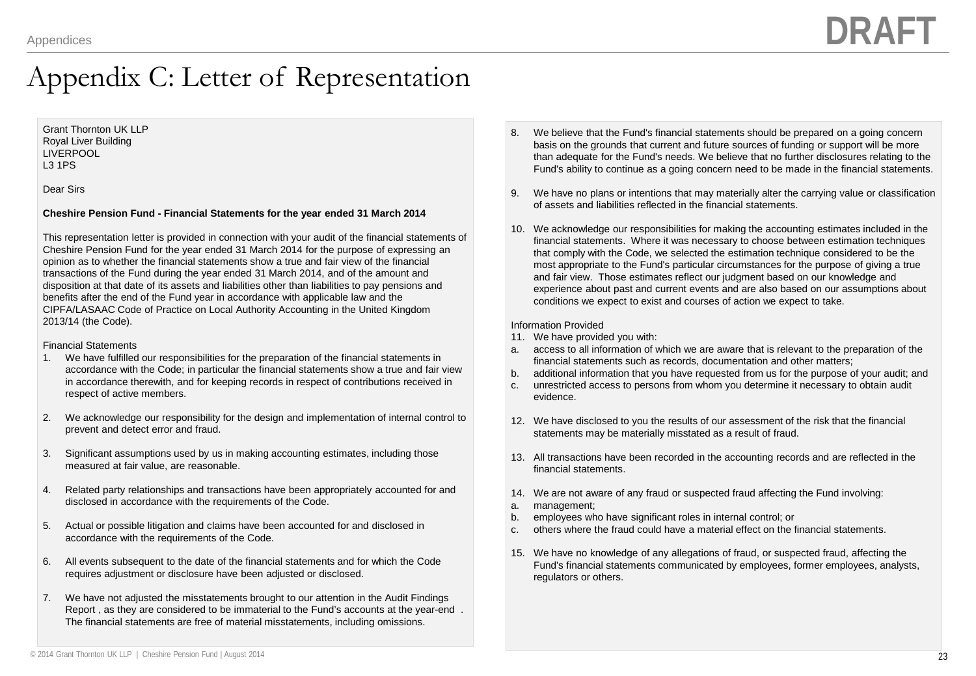### Appendix C: Letter of Representation

#### Grant Thornton UK LLP Royal Liver Building LIVERPOOL L3 1PS

Dear Sirs

#### **Cheshire Pension Fund - Financial Statements for the year ended 31 March 2014**

This representation letter is provided in connection with your audit of the financial statements of Cheshire Pension Fund for the year ended 31 March 2014 for the purpose of expressing an opinion as to whether the financial statements show a true and fair view of the financial transactions of the Fund during the year ended 31 March 2014, and of the amount and disposition at that date of its assets and liabilities other than liabilities to pay pensions and benefits after the end of the Fund year in accordance with applicable law and the CIPFA/LASAAC Code of Practice on Local Authority Accounting in the United Kingdom 2013/14 (the Code).

#### Financial Statements

- 1. We have fulfilled our responsibilities for the preparation of the financial statements in accordance with the Code; in particular the financial statements show a true and fair view in accordance therewith, and for keeping records in respect of contributions received in respect of active members.
- 2. We acknowledge our responsibility for the design and implementation of internal control to prevent and detect error and fraud.
- 3. Significant assumptions used by us in making accounting estimates, including those measured at fair value, are reasonable.
- 4. Related party relationships and transactions have been appropriately accounted for and disclosed in accordance with the requirements of the Code.
- 5. Actual or possible litigation and claims have been accounted for and disclosed in accordance with the requirements of the Code.
- 6. All events subsequent to the date of the financial statements and for which the Code requires adjustment or disclosure have been adjusted or disclosed.
- 7. We have not adjusted the misstatements brought to our attention in the Audit Findings Report , as they are considered to be immaterial to the Fund's accounts at the year-end . The financial statements are free of material misstatements, including omissions.
- 8. We believe that the Fund's financial statements should be prepared on a going concern basis on the grounds that current and future sources of funding or support will be more than adequate for the Fund's needs. We believe that no further disclosures relating to the Fund's ability to continue as a going concern need to be made in the financial statements.
- 9. We have no plans or intentions that may materially alter the carrying value or classification of assets and liabilities reflected in the financial statements.
- 10. We acknowledge our responsibilities for making the accounting estimates included in the financial statements. Where it was necessary to choose between estimation techniques that comply with the Code, we selected the estimation technique considered to be the most appropriate to the Fund's particular circumstances for the purpose of giving a true and fair view. Those estimates reflect our judgment based on our knowledge and experience about past and current events and are also based on our assumptions about conditions we expect to exist and courses of action we expect to take.

#### Information Provided

- 11. We have provided you with:
- a. access to all information of which we are aware that is relevant to the preparation of the financial statements such as records, documentation and other matters;
- b. additional information that you have requested from us for the purpose of your audit; and
- c. unrestricted access to persons from whom you determine it necessary to obtain audit evidence.
- 12. We have disclosed to you the results of our assessment of the risk that the financial statements may be materially misstated as a result of fraud.
- 13. All transactions have been recorded in the accounting records and are reflected in the financial statements.
- 14. We are not aware of any fraud or suspected fraud affecting the Fund involving:
- a. management;
- b. employees who have significant roles in internal control; or
- c. others where the fraud could have a material effect on the financial statements.
- 15. We have no knowledge of any allegations of fraud, or suspected fraud, affecting the Fund's financial statements communicated by employees, former employees, analysts, regulators or others.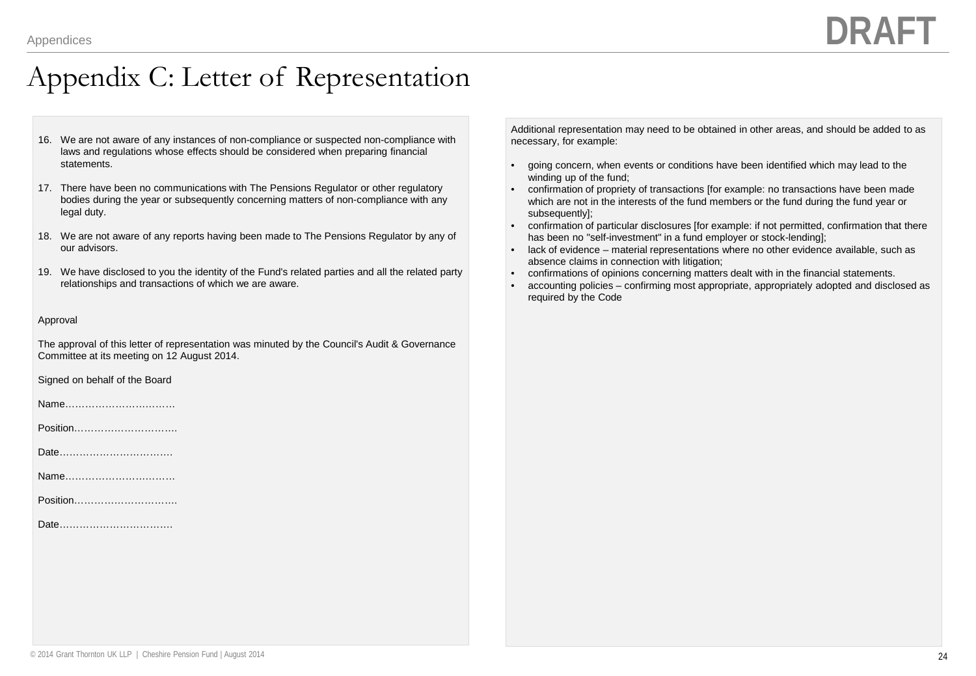### Appendix C: Letter of Representation

- 16. We are not aware of any instances of non-compliance or suspected non-compliance with laws and regulations whose effects should be considered when preparing financial statements.
- 17. There have been no communications with The Pensions Regulator or other regulatory bodies during the year or subsequently concerning matters of non-compliance with any legal duty.
- 18. We are not aware of any reports having been made to The Pensions Regulator by any of our advisors.
- 19. We have disclosed to you the identity of the Fund's related parties and all the related party relationships and transactions of which we are aware.

#### Approval

The approval of this letter of representation was minuted by the Council's Audit & Governance Committee at its meeting on 12 August 2014.

Signed on behalf of the Board

Name……………………………

Position………………………….

Date…………………………….

Name……………………………

Position………………………….

Date…………………………….

Additional representation may need to be obtained in other areas, and should be added to as necessary, for example:

- going concern, when events or conditions have been identified which may lead to the winding up of the fund;
- confirmation of propriety of transactions [for example: no transactions have been made which are not in the interests of the fund members or the fund during the fund year or subsequently];
- confirmation of particular disclosures [for example: if not permitted, confirmation that there has been no "self-investment" in a fund employer or stock-lending];
- lack of evidence material representations where no other evidence available, such as absence claims in connection with litigation;
- confirmations of opinions concerning matters dealt with in the financial statements.
- accounting policies confirming most appropriate, appropriately adopted and disclosed as required by the Code